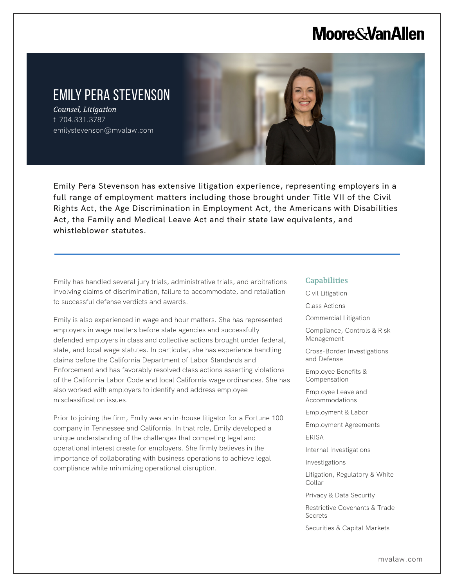# **Moore & Van Allen**

# EMILY PERA STEVENSON

*Counsel, Litigation* t 704.331.3787 emilystevenson@mvalaw.com

L

Emily Pera Stevenson has extensive litigation experience, representing employers in a full range of employment matters including those brought under Title VII of the Civil Rights Act, the Age Discrimination in Employment Act, the Americans with Disabilities Act, the Family and Medical Leave Act and their state law equivalents, and whistleblower statutes.

Emily has handled several jury trials, administrative trials, and arbitrations involving claims of discrimination, failure to accommodate, and retaliation to successful defense verdicts and awards.

Emily is also experienced in wage and hour matters. She has represented employers in wage matters before state agencies and successfully defended employers in class and collective actions brought under federal, state, and local wage statutes. In particular, she has experience handling claims before the California Department of Labor Standards and Enforcement and has favorably resolved class actions asserting violations of the California Labor Code and local California wage ordinances. She has also worked with employers to identify and address employee misclassification issues.

Prior to joining the firm, Emily was an in-house litigator for a Fortune 100 company in Tennessee and California. In that role, Emily developed a unique understanding of the challenges that competing legal and operational interest create for employers. She firmly believes in the importance of collaborating with business operations to achieve legal compliance while minimizing operational disruption.

### **Capabilities**

Civil Litigation

Class Actions

Commercial Litigation

Compliance, Controls & Risk Management

Cross-Border Investigations and Defense

Employee Benefits & Compensation

Employee Leave and Accommodations

Employment & Labor

Employment Agreements

ERISA

Internal Investigations

Investigations

Litigation, Regulatory & White Collar

Privacy & Data Security

Restrictive Covenants & Trade Secrets

Securities & Capital Markets